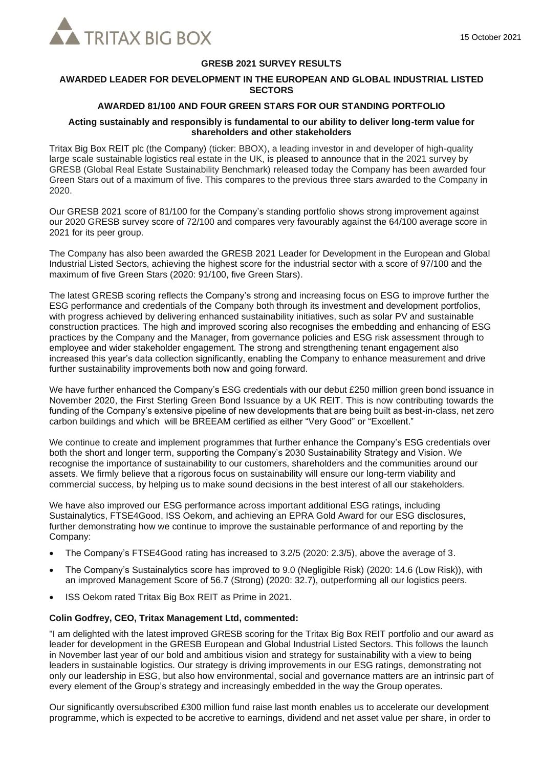

# **GRESB 2021 SURVEY RESULTS**

# **AWARDED LEADER FOR DEVELOPMENT IN THE EUROPEAN AND GLOBAL INDUSTRIAL LISTED SECTORS**

# **AWARDED 81/100 AND FOUR GREEN STARS FOR OUR STANDING PORTFOLIO**

#### **Acting sustainably and responsibly is fundamental to our ability to deliver long-term value for shareholders and other stakeholders**

Tritax Big Box REIT plc (the Company) (ticker: BBOX), a leading investor in and developer of high-quality large scale sustainable logistics real estate in the UK, is pleased to announce that in the 2021 survey by GRESB (Global Real Estate Sustainability Benchmark) released today the Company has been awarded four Green Stars out of a maximum of five. This compares to the previous three stars awarded to the Company in 2020.

Our GRESB 2021 score of 81/100 for the Company's standing portfolio shows strong improvement against our 2020 GRESB survey score of 72/100 and compares very favourably against the 64/100 average score in 2021 for its peer group.

The Company has also been awarded the GRESB 2021 Leader for Development in the European and Global Industrial Listed Sectors, achieving the highest score for the industrial sector with a score of 97/100 and the maximum of five Green Stars (2020: 91/100, five Green Stars).

The latest GRESB scoring reflects the Company's strong and increasing focus on ESG to improve further the ESG performance and credentials of the Company both through its investment and development portfolios, with progress achieved by delivering enhanced sustainability initiatives, such as solar PV and sustainable construction practices. The high and improved scoring also recognises the embedding and enhancing of ESG practices by the Company and the Manager, from governance policies and ESG risk assessment through to employee and wider stakeholder engagement. The strong and strengthening tenant engagement also increased this year's data collection significantly, enabling the Company to enhance measurement and drive further sustainability improvements both now and going forward.

We have further enhanced the Company's ESG credentials with our debut £250 million green bond issuance in November 2020, the First Sterling Green Bond Issuance by a UK REIT. This is now contributing towards the funding of the Company's extensive pipeline of new developments that are being built as best-in-class, net zero carbon buildings and which will be BREEAM certified as either "Very Good" or "Excellent."

We continue to create and implement programmes that further enhance the Company's ESG credentials over both the short and longer term, supporting the Company's 2030 Sustainability Strategy and Vision. We recognise the importance of sustainability to our customers, shareholders and the communities around our assets. We firmly believe that a rigorous focus on sustainability will ensure our long-term viability and commercial success, by helping us to make sound decisions in the best interest of all our stakeholders.

We have also improved our ESG performance across important additional ESG ratings, including Sustainalytics, FTSE4Good, ISS Oekom, and achieving an EPRA Gold Award for our ESG disclosures, further demonstrating how we continue to improve the sustainable performance of and reporting by the Company:

- The Company's FTSE4Good rating has increased to 3.2/5 (2020: 2.3/5), above the average of 3.
- The Company's Sustainalytics score has improved to 9.0 (Negligible Risk) (2020: 14.6 (Low Risk)), with an improved Management Score of 56.7 (Strong) (2020: 32.7), outperforming all our logistics peers.
- ISS Oekom rated Tritax Big Box REIT as Prime in 2021.

#### **Colin Godfrey, CEO, Tritax Management Ltd, commented:**

"I am delighted with the latest improved GRESB scoring for the Tritax Big Box REIT portfolio and our award as leader for development in the GRESB European and Global Industrial Listed Sectors. This follows the launch in November last year of our bold and ambitious vision and strategy for sustainability with a view to being leaders in sustainable logistics. Our strategy is driving improvements in our ESG ratings, demonstrating not only our leadership in ESG, but also how environmental, social and governance matters are an intrinsic part of every element of the Group's strategy and increasingly embedded in the way the Group operates.

Our significantly oversubscribed £300 million fund raise last month enables us to accelerate our development programme, which is expected to be accretive to earnings, dividend and net asset value per share, in order to